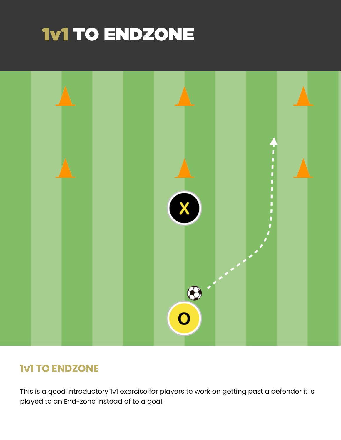# 1v1 TO ENDZONE



# **1v1 TO ENDZONE**

This is a good introductory 1v1 exercise for players to work on getting past a defender it is played to an End-zone instead of to a goal.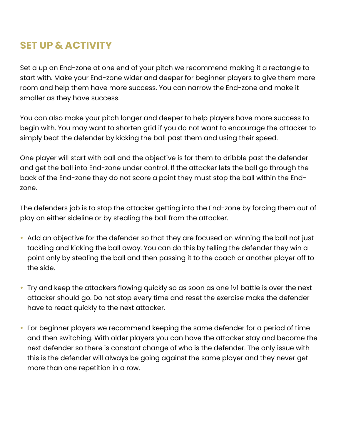### **SET UP & ACTIVITY**

Set a up an End-zone at one end of your pitch we recommend making it a rectangle to start with. Make your End-zone wider and deeper for beginner players to give them more room and help them have more success. You can narrow the End-zone and make it smaller as they have success.

You can also make your pitch longer and deeper to help players have more success to begin with. You may want to shorten grid if you do not want to encourage the attacker to simply beat the defender by kicking the ball past them and using their speed.

One player will start with ball and the objective is for them to dribble past the defender and get the ball into End-zone under control. If the attacker lets the ball go through the back of the End-zone they do not score a point they must stop the ball within the Endzone.

The defenders job is to stop the attacker getting into the End-zone by forcing them out of play on either sideline or by stealing the ball from the attacker.

- Add an objective for the defender so that they are focused on winning the ball not just tackling and kicking the ball away. You can do this by telling the defender they win a point only by stealing the ball and then passing it to the coach or another player off to the side.
- Try and keep the attackers flowing quickly so as soon as one 1v1 battle is over the next attacker should go. Do not stop every time and reset the exercise make the defender have to react quickly to the next attacker.
- For beginner players we recommend keeping the same defender for a period of time and then switching. With older players you can have the attacker stay and become the next defender so there is constant change of who is the defender. The only issue with this is the defender will always be going against the same player and they never get more than one repetition in a row.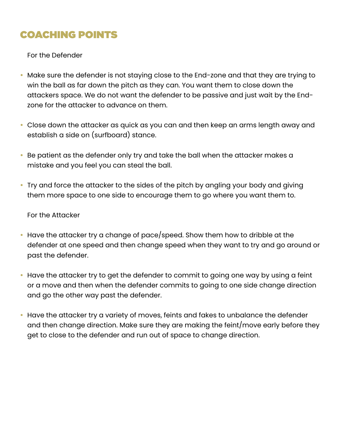# COACHING POINTS

For the Defender

- Make sure the defender is not staying close to the End-zone and that they are trying to win the ball as far down the pitch as they can. You want them to close down the attackers space. We do not want the defender to be passive and just wait by the Endzone for the attacker to advance on them.
- Close down the attacker as quick as you can and then keep an arms length away and establish a side on (surfboard) stance.
- Be patient as the defender only try and take the ball when the attacker makes a mistake and you feel you can steal the ball.
- Try and force the attacker to the sides of the pitch by angling your body and giving them more space to one side to encourage them to go where you want them to.

#### For the Attacker

- Have the attacker try a change of pace/speed. Show them how to dribble at the defender at one speed and then change speed when they want to try and go around or past the defender.
- Have the attacker try to get the defender to commit to going one way by using a feint or a move and then when the defender commits to going to one side change direction and go the other way past the defender.
- Have the attacker try a variety of moves, feints and fakes to unbalance the defender and then change direction. Make sure they are making the feint/move early before they get to close to the defender and run out of space to change direction.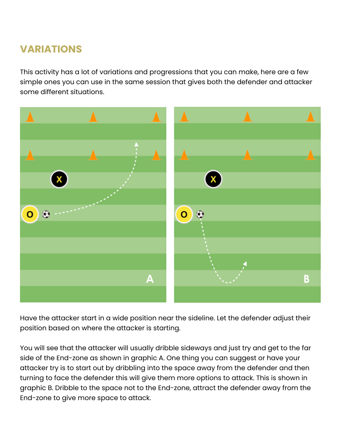# **VARIATIONS**

This activity has a lot of variations and progressions that you can make, here are a few simple ones you can use in the same session that gives both the defender and attacker some different situations.



Have the attacker start in a wide position near the sideline. Let the defender adjust their position based on where the attacker is starting.

You will see that the attacker will usually dribble sideways and just try and get to the far side of the End-zone as shown in graphic A. One thing you can suggest or have your attacker try is to start out by dribbling into the space away from the defender and then turning to face the defender this will give them more options to attack. This is shown in graphic B. Dribble to the space not to the End-zone, attract the defender away from the End-zone to give more space to attack.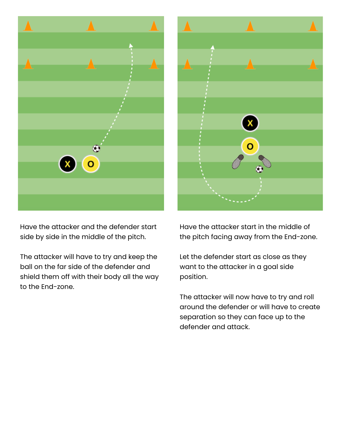

Have the attacker and the defender start side by side in the middle of the pitch.

The attacker will have to try and keep the ball on the far side of the defender and shield them off with their body all the way to the End-zone.



Have the attacker start in the middle of the pitch facing away from the End-zone.

Let the defender start as close as they want to the attacker in a goal side position.

The attacker will now have to try and roll around the defender or will have to create separation so they can face up to the defender and attack.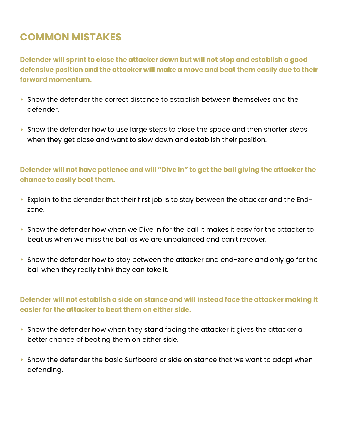# **COMMON MISTAKES**

**Defender will sprint to close the attacker down but will not stop and establish a good defensive position and the attacker will make a move and beat them easily due to their forward momentum.**

- Show the defender the correct distance to establish between themselves and the defender.
- Show the defender how to use large steps to close the space and then shorter steps when they get close and want to slow down and establish their position.

#### **Defender will not have patience and will "Dive In" to get the ball giving the attacker the chance to easily beat them.**

- Explain to the defender that their first job is to stay between the attacker and the Endzone.
- Show the defender how when we Dive In for the ball it makes it easy for the attacker to beat us when we miss the ball as we are unbalanced and can't recover.
- Show the defender how to stay between the attacker and end-zone and only go for the ball when they really think they can take it.

#### **Defender will not establish a side on stance and will instead face the attacker making it easier for the attacker to beat them on either side.**

- Show the defender how when they stand facing the attacker it gives the attacker a better chance of beating them on either side.
- Show the defender the basic Surfboard or side on stance that we want to adopt when defending.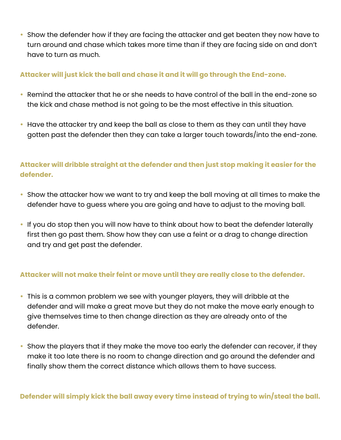• Show the defender how if they are facing the attacker and get beaten they now have to turn around and chase which takes more time than if they are facing side on and don't have to turn as much.

#### **Attacker will just kick the ball and chase it and it will go through the End-zone.**

- Remind the attacker that he or she needs to have control of the ball in the end-zone so the kick and chase method is not going to be the most effective in this situation.
- Have the attacker try and keep the ball as close to them as they can until they have gotten past the defender then they can take a larger touch towards/into the end-zone.

### **Attacker will dribble straight at the defender and then just stop making it easier for the defender.**

- Show the attacker how we want to try and keep the ball moving at all times to make the defender have to guess where you are going and have to adjust to the moving ball.
- If you do stop then you will now have to think about how to beat the defender laterally first then go past them. Show how they can use a feint or a drag to change direction and try and get past the defender.

#### **Attacker will not make their feint or move until they are really close to the defender.**

- This is a common problem we see with younger players, they will dribble at the defender and will make a great move but they do not make the move early enough to give themselves time to then change direction as they are already onto of the defender.
- Show the players that if they make the move too early the defender can recover, if they make it too late there is no room to change direction and go around the defender and finally show them the correct distance which allows them to have success.

**Defender will simply kick the ball away every time instead of trying to win/steal the ball.**